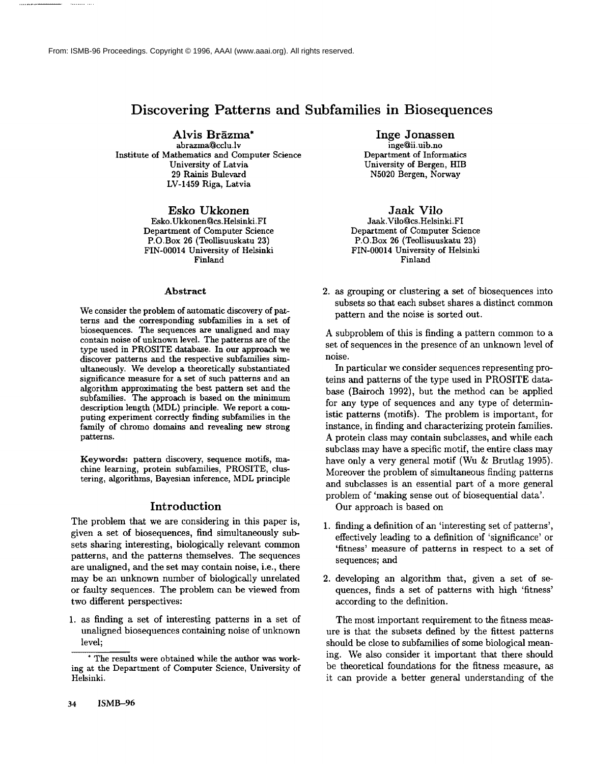From: ISMB-96 Proceedings. Copyright © 1996, AAAI (www.aaai.org). All rights reserved.

# **Discovering Patterns and Subfamilies in Biosequences**

Alvis Brāzma\* abrazma@cclu.lv Institute of Mathematics and Computer Science University of Latvia 29 Rainis Bulevard LV-1459 Riga, Latvia

> Esko Ukkonen Esko.Ukkonen@cs.Helsinki.FI Department of Computer Science P.O.Box 26 (Teollisuuskatu 23) FIN-00014 University of Helsinki Finland

#### **Abstract**

We consider the problem of automatic discovery of patterns and the corresponding subfamilies in a set of biosequences. The sequences are unaligned and may contain noise of unknown level. The patterns are of the type used in PROSITE database. In our approach we discover patterns and the respective subfamilies simultaneously. We develop a theoretically substantiated significance measure for a set of such patterns and an algorithm approximating the best pattern set and the subfamilies. The approach is based on the minimum description length (MDL) principle. We report a computing experiment correctly finding subfamilies in the family of chromo domains and revealing new strong patterns.

**Keywords:** pattern discovery, sequence motifs, machine learning, protein subfamilies, PROSITE, clustering, algorithms, Bayesian inference, MDL principle

## Introduction

The problem that we are considering in this paper is, given a set of biosequences, find simultaneously subsets sharing interesting, biologically relevant common patterns, and the patterns themselves. The sequences are unaligned, and the set may contain noise, i.e., there may be an unknown number of biologically unrelated or faulty sequences. The problem can be viewed from two different perspectives:

1. as finding a set of interesting patterns in a set of unaligned biosequences containing noise of unknown level;

Inge Jonassen

inge@ii.uib.no Department of Informatics University of Bergen, HIB N5020 Bergen, Norway

**Jaak Vilo** Jaak.Vilo@cs.Helsinki.FI Department of Computer Science P.O.Box 26 (Teollisuuskatu 23) FIN-00014 University of Helsinki Finland

2. as grouping or clustering a set of biosequences into subsets so that each subset shares a distinct common pattern and the noise is sorted out.

A subproblem of this is finding a pattern common to a set of sequences in the presence of an unknown level of noise.

In particular we consider sequences representing proteins and patterns of the type used in PROSITE database (Bairoch 1992), but the method can be applied for any type of sequences and any type of deterministic patterns (motifs). The problem is important, for instance, in finding and characterizing protein families. A protein class may contain subclasses, and while each subclass may have a specific motif, the entire class may have only a very general motif (Wu & Brutlag 1995). Moreover the problem of simultaneous finding patterns and subclasses is an essential part of a more general problem of 'making sense out of biosequential data'.

Our approach is based on

- 1. finding a definition of an 'interesting set of patterns', effectively leading to a definition of 'significance' or 'fitness' measure of patterns in respect to a set of sequences; and
- 2. developing an algorithm that, given a set of sequences, finds a set of patterns with high 'fitness' according to the definition.

The most important requirement to the fitness measure is that the subsets defined by the fittest patterns should be close to subfamilies of some biological meaning. We also consider it important that there should be theoretical foundations for the fitness measure, as it can provide a better general understanding of the

The results were obtained while the author was working at the Department of Computer Science, University of Helsinki.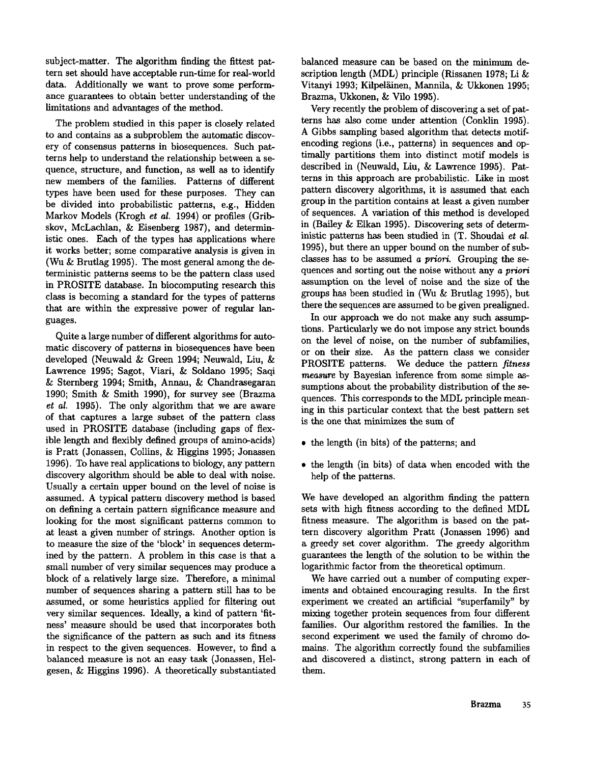subject-matter. The algorithm finding the fittest pattern set should have acceptable run-time for real-world data. Additionally we want to prove some performance guarantees to obtain better understanding of the limitations and advantages of the method.

The problem studied in this paper is closely related to and contains as a subproblem the automatic discovery of consensus patterns in biosequences. Such patterns help to understand the relationship between a sequence, structure, and function, as well as to identify new members of the families. Patterns of different types have been used for these purposes. They can be divided into probabilistic patterns, e.g., Hidden Markov Models (Krogh *et al.* 1994) or profiles (Gribskov, McLachlan, & Eisenberg 1987), and deterministic ones. Each of the types has applications where it works better; some comparative analysis is given in (Wu & Brutlag 1995). The most general among the deterministic patterns seems to be the pattern class used in PROSITE database. In biocomputing research this class is becoming a standard for the types of patterns that are within the expressive power of regular languages.

Quite a large number of different algorithms for automatic discovery of patterns in biosequences have been developed (Neuwald & Green 1994; Neuwald, Liu, Lawrence 1995; Sagot, Viari, & Soldano 1995; Saqi & Sternberg 1994; Smith, Annau, & Chandrasegaran 1990; Smith & Smith 1990), for survey see (Brazma *et al.* 1995). The only algorithm that we are aware of that captures a large subset of the pattern class used in PROSITE database (including gaps of flexible length and flexibly defined groups of amino-acids) is Pratt (Jonassen, Collins, & Higgins 1995; Jonassen 1996). To have real applications to biology, any pattern discovery algorithm should be able to deal with noise. Usually a certain upper bound on the level of noise is assumed. A typical pattern discovery method is based on defining a certain pattern significance measure and looking for the most significant patterns common to at least a given number of strings. Another option is to measure the size of the 'block' in sequences determined by the pattern. A problem in this case is that a small number of very similar sequences may produce a block of a relatively large size. Therefore, a minimal number of sequences sharing a pattern still has to be assumed, or some heuristics applied for filtering out very similar sequences. Ideally, a kind of pattern 'fitness' measure should be used that incorporates both the significance of the pattern as such and its fitness in respect to the given sequences. However, to find a balanced measure is not an easy task (Jonassen, Helgesen, & Higgins 1996). A theoretically substantiated balanced measure can be based on the minimum description length (MDL) principle (Rissanen 1978; Li Vitanyi 1993; Kilpeläinen, Mannila, & Ukkonen 1995; Brazma, Ukkonen, & Vilo 1995).

Very recently the problem of discovering a set of patterns has also come under attention (Conklin 1995). A Gibbs sampling based algorithm that detects motifencoding regions (i.e., patterns) in sequences and optimally partitions them into distinct motif models is described in (Neuwald, Liu, & Lawrence 1995). Patterns in this approach are probabilistic. Like in most pattern discovery algorithms, it is assumed that each group in the partition contains at least a given number of sequences. A variation of this method is developed in (Bailey & Eikan 1995). Discovering sets of deterministic patterns has been studied in (T. Shoudai et al. 1995), but there an upper bound on the number of subclasses has to be assumed *a priori.* Grouping the sequences and sorting out the noise without *any a priori* assumption on the level of noise and the size of the groups has been studied in (Wu & Brutlag 1995), but there the sequences are assumed to be given prealigned.

In our approach we do not make any such assumptions. Particularly we do not impose any strict bounds on the level of noise, on the number of subfamilies, or on their size. As the pattern class we consider PROSITE patterns. We deduce the pattern *fitness measure* by Bayesian inference from some simple assumptions about the probability distribution of the sequences. This corresponds to the MDL principle meaning in this particular context that the best pattern set is the one that minimizes the sum of

- the length (in bits) of the patterns; and
- the length (in bits) of data when encoded with the help of the patterns.

We have developed an algorithm finding the pattern sets with high fitness according to the defined MDL fitness measure. The algorithm is based on the pattern discovery algorithm Pratt (Jonassen 1996) and a greedy set cover algorithm. The greedy algorithm guarantees the length of the solution to be within the logarithmic factor from the theoretical optimum.

We have carried out a number of computing experiments and obtained encouraging results. In the first experiment we created an artificial "superfamily" by mixing together protein sequences from four different families. Our algorithm restored the families. In the second experiment we used the family of chromo domains. The algorithm correctly found the subfamilies and discovered a distinct, strong pattern in each of them.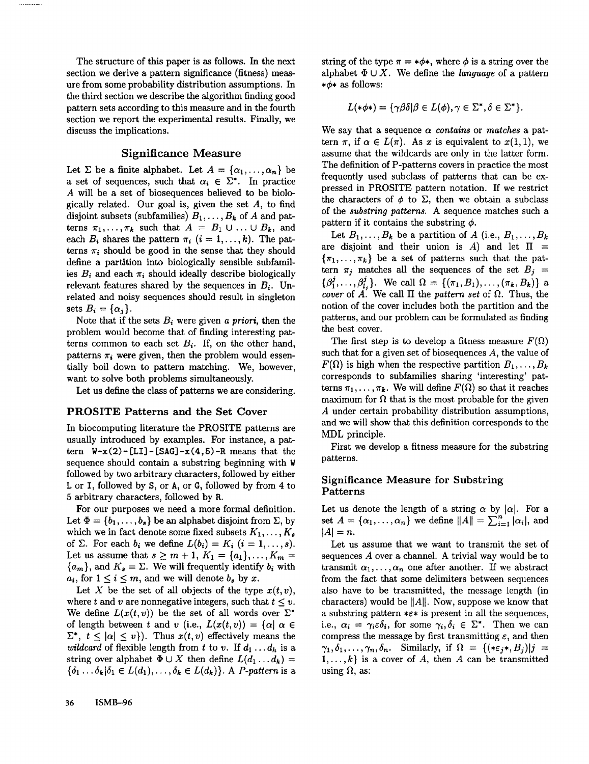The structure of this paper is as follows. In the next section we derive a pattern significance (fitness) measure from some probability distribution assumptions. In the third section we describe the algorithm finding good pattern sets according to this measure and in the fourth section we report the experimental results. Finally, we discuss the implications.

. . . . . . . . . . . .

## Significance Measure

Let  $\Sigma$  be a finite alphabet. Let  $A = {\alpha_1, \ldots, \alpha_n}$  be a set of sequences, such that  $\alpha_i \in \Sigma^*$ . In practice A will be a set of biosequences believed to be biologically related. Our goal is, given the set  $A$ , to find disjoint subsets (subfamilies)  $B_1, \ldots, B_k$  of A and patterns  $\pi_1,\ldots,\pi_k$  such that  $A = B_1 \cup \ldots \cup B_k$ , and each  $B_i$  shares the pattern  $\pi_i$   $(i = 1, \ldots, k)$ . The patterns  $\pi_i$  should be good in the sense that they should define a partition into biologically sensible subfamilies  $B_i$  and each  $\pi_i$  should ideally describe biologically relevant features shared by the sequences in *Bi.* Unrelated and noisy sequences should result in singleton sets  $B_i = {\alpha_i}.$ 

Note that if the sets  $B_i$  were given *a priori*, then the problem would become that of finding interesting patterns common to each set  $B_i$ . If, on the other hand, patterns  $\pi_i$  were given, then the problem would essentially boil down to pattern matching. We, however, want to solve both problems simultaneously.

Let us define the class of patterns we are considering.

#### PROSITE **Patterns and the Set** Cover

In biocomputing literature the PROSITE patterns are usually introduced by examples. For instance, a pattern  $W-x(2)$ -[LI]-[SAG]-x(4,5)-R means that the sequence should contain a substring beginning with  $W$ followed by two arbitrary characters, followed by either L or I, followed by S, or A, or G, followed by from 4 to 5 arbitrary characters, followed by Ft.

For our purposes we need a more formal definition. Let  $\Phi = \{b_1, \ldots, b_s\}$  be an alphabet disjoint from  $\Sigma$ , by which we in fact denote some fixed subsets  $K_1, \ldots, K_s$ of  $\Sigma$ . For each  $b_i$  we define  $L(b_i) = K_i$   $(i = 1, \ldots, s)$ . Let us assume that  $s \ge m + 1$ ,  $K_1 = \{a_1\}, \ldots, K_m =$  $\{a_m\}$ , and  $K_s = \Sigma$ . We will frequently identify  $b_i$  with  $a_i$ , for  $1 \leq i \leq m$ , and we will denote  $b_s$  by x.

Let X be the set of all objects of the type  $x(t, v)$ , where t and v are nonnegative integers, such that  $t \leq v$ . We define  $L(x(t, v))$  be the set of all words over  $\Sigma^*$ of length between t and v (i.e.,  $L(x(t, v)) = {\alpha | \alpha \in \mathbb{R} }$  $\Sigma^*$ ,  $t \leq |\alpha| \leq v$ ). Thus  $x(t, v)$  effectively means the *wildcard* of flexible length from t to v. If  $d_1 \ldots d_h$  is a string over alphabet  $\Phi \cup X$  then define  $L(d_1 \ldots d_k) =$  $\{\delta_1 \ldots \delta_k | \delta_1 \in L(d_1), \ldots, \delta_k \in L(d_k)\}.$  A *P-pattern* is a string of the type  $\pi = * \phi *$ , where  $\phi$  is a string over the alphabet  $\Phi \cup X$ . We define the *language* of a pattern  $*\phi*$  as follows:

$$
L(\ast \phi \ast) = \{ \gamma \beta \delta | \beta \in L(\phi), \gamma \in \Sigma^*, \delta \in \Sigma^* \}.
$$

We say that a sequence  $\alpha$  *contains* or *matches* a pattern  $\pi$ , if  $\alpha \in L(\pi)$ . As x is equivalent to  $x(1, 1)$ , we assume that the wildcards are only in the latter form. The definition of P-patterns covers in practice the most frequently used subclass of patterns that can be expressed in PROSITE pattern notation. If we restrict the characters of  $\phi$  to  $\Sigma$ , then we obtain a subclass of the *substring patterns.* A sequence matches such a pattern if it contains the substring  $\phi$ .

Let  $B_1, \ldots, B_k$  be a partition of A (i.e.,  $B_1, \ldots, B_k$ ) are disjoint and their union is A) and let  $\Pi$  =  $\{\pi_1,\ldots,\pi_k\}$  be a set of patterns such that the pattern  $\pi_j$  matches all the sequences of the set  $B_j =$  ${\beta_1^j, \ldots, \beta_{l}^j}$ . We call  $\Omega = {\{\pi_1, B_1\}, \ldots, \{\pi_k, B_k\}}$  a *cover* of A. We call  $\Pi$  the *pattern set* of  $\Omega$ . Thus, the notion of the cover includes both the partition and the patterns, and our problem can be formulated as finding the best cover.

The first step is to develop a fitness measure  $F(\Omega)$ such that for a given set of biosequences  $A$ , the value of  $F(\Omega)$  is high when the respective partition  $B_1,\ldots,B_k$ corresponds to subfamilies sharing 'interesting' patterns  $\pi_1,\ldots,\pi_k$ . We will define  $F(\Omega)$  so that it reaches maximum for  $\Omega$  that is the most probable for the given A under certain probability distribution assumptions, and we will show that this definition corresponds to the MDL principle.

First we develop a fitness measure for the substring patterns.

## Significance Measure for Substring Patterns

Let us denote the length of a string  $\alpha$  by  $|\alpha|$ . For a set  $A = {\alpha_1, ..., \alpha_n}$  we define  $||A|| = \sum_{i=1}^n |\alpha_i|$ , and  $|A|=n$ .

Let us assume that we want to transmit the set of sequences A over a channel. A trivial way would be to transmit  $\alpha_1,\ldots,\alpha_n$  one after another. If we abstract from the fact that some delimiters between sequences also have to be transmitted, the message length (in characters) would be  $||A||$ . Now, suppose we know that a substring pattern  $*\epsilon*$  is present in all the sequences, i.e.,  $\alpha_i = \gamma_i \epsilon \delta_i$ , for some  $\gamma_i, \delta_i \in \Sigma^*$ . Then we can compress the message by first transmitting  $\varepsilon$ , and then  $\gamma_1,\delta_1,\ldots,\gamma_n,\delta_n$ . Similarly, if  $\Omega = \{(*\varepsilon_j*,B_j)|j =$  $1, \ldots, k$  is a cover of A, then A can be transmitted using  $\Omega$ , as: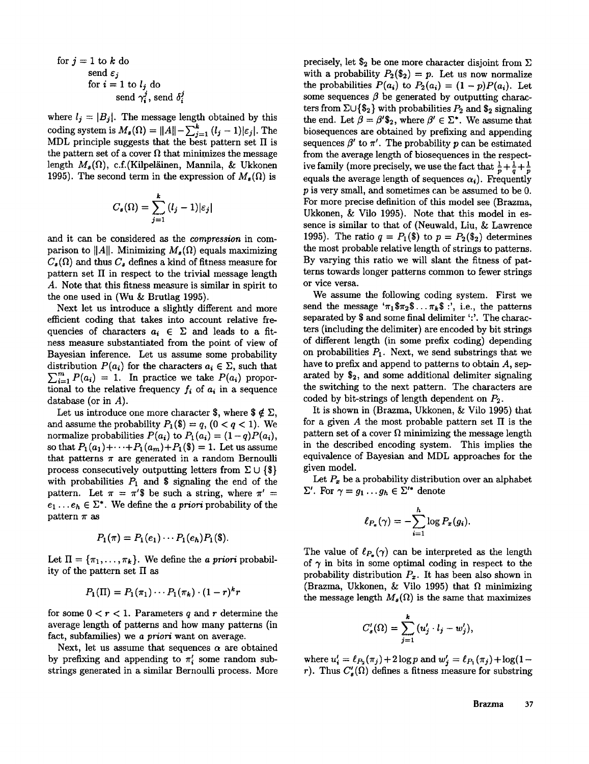for 
$$
j = 1
$$
 to k do  
\nsend  $\varepsilon_j$   
\nfor  $i = 1$  to  $l_j$  do  
\nsend  $\gamma_i^j$ , send  $\delta_i^j$ 

where  $l_j = |B_j|$ . The message length obtained by this coding system is  $M_s(\Omega) = ||A|| - \sum_{i=1}^{k} (l_j - 1)|\epsilon_j|.$  The MDL principle suggests that the best pattern set  $\Pi$  is the pattern set of a cover  $\Omega$  that minimizes the message length  $M_s(\Omega)$ , c.f.(Kilpeläinen, Mannila, & Ukkonen 1995). The second term in the expression of  $M_{\rm a}(\Omega)$  is

$$
C_s(\Omega) = \sum_{j=1}^k (l_j - 1)|\varepsilon_j|
$$

and it can be considered as the *compression* in comparison to  $||A||$ . Minimizing  $M_{\epsilon}(\Omega)$  equals maximizing  $C_{\rm g}(\Omega)$  and thus  $C_{\rm g}$  defines a kind of fitness measure for pattern set II in respect to the trivial message length A. Note that this fitness measure is similar in spirit to the one used in (Wu & Brutlag 1995).

Next let us introduce a slightly different and more efficient coding that takes into account relative frequencies of characters  $a_i \in \Sigma$  and leads to a fitness measure substantiated from the point of view of Bayesian inference. Let us assume some probability distribution  $P(a_i)$  for the characters  $a_i \in \Sigma$ , such that  $\sum_{i=1}^m P(a_i) = 1$ . In practice we take  $P(a_i)$  proportional to the relative frequency  $f_i$  of  $a_i$  in a sequence database (or in  $A$ ).

Let us introduce one more character \$, where  $\mathcal{F} \notin \Sigma$ , and assume the probability  $P_1(\$) = q$ ,  $(0 < q < 1)$ . We normalize probabilities  $P(a_i)$  to  $P_1(a_i) = (1-q)P(a_i)$ , so that  $P_1(a_1) + \cdots + P_n(a_m) + P_n(\$) = 1$ . Let us assume that patterns  $\pi$  are generated in a random Bernoulli process consecutively outputting letters from  $\Sigma \cup \{\$\}$ with probabilities  $P_1$  and \$ signaling the end of the pattern. Let  $\pi = \pi$ 's be such a string, where  $\pi'$  =  $e_1 \ldots e_h \in \Sigma^*$ . We define the *a priori* probability of the pattern  $\pi$  as

$$
P_1(\pi) = P_1(e_1) \cdots P_1(e_h) P_1(\$).
$$

Let  $\Pi = {\pi_1, \ldots, \pi_k}$ . We define the *a priori* probability of the pattern set  $\Pi$  as

$$
P_1(\Pi) = P_1(\pi_1) \cdots P_1(\pi_k) \cdot (1-r)^k r
$$

for some  $0 < r < 1$ . Parameters q and r determine the average length of patterns and how many patterns (in fact, subfamilies) we *a priori* want on average.

Next, let us assume that sequences  $\alpha$  are obtained by prefixing and appending to  $\pi'$  some random substrings generated in a similar Bernoulli process. More

precisely, let  $\$_2$  be one more character disjoint from  $\Sigma$ with a probability  $P_2(\mathbb{S}_2) = p$ . Let us now normalize the probabilities  $P(a_i)$  to  $P_2(a_i) = (1-p)P(a_i)$ . Let some sequences  $\beta$  be generated by outputting characters from  $\Sigma \cup {\S_2}$  with probabilities  $P_2$  and  $S_2$  signaling the end. Let  $\beta = \beta'$ \$<sub>2</sub>, where  $\beta' \in \Sigma^*$ . We assume that biosequences are obtained by prefixing and appending sequences  $\beta'$  to  $\pi'$ . The probability p can be estimated from the average length of biosequences in the respective family (more precisely, we use the fact that  $\frac{1}{p} + \frac{1}{q} + \frac{1}{p}$ equals the average length of sequences  $\alpha_i$ ). Frequently p is very small, and sometimes can be assumed to be 0. For more precise definition of this model see (Brazma, Ukkonen, & Vilo 1995). Note that this model in essence is similar to that of (Neuwald, Liu, & Lawrence 1995). The ratio  $q = P_1(\$)$  to  $p = P_2(\$_2)$  determines the most probable relative length of strings to patterns. By varying this ratio we will slant the fitness of patterns towards longer patterns common to fewer strings or vice versa.

We assume the following coding system. First we send the message ' $\pi_1\$ mathcal{F}\_{\mathcal{I}}\... $\pi_k\$  :', i.e., the patterns separated by \$ and some final delimiter ':'. The characters (including the delimiter) are encoded by bit strings of different length (in some prefix coding) depending on probabilities  $P_1$ . Next, we send substrings that we have to prefix and append to patterns to obtain A, separated by  $\$_2$ , and some additional delimiter signaling the switching to the next pattern. The characters are coded by bit-strings of length dependent on  $P_2$ .

It is shown in (Brazma, Ukkonen,  $&$  Vilo 1995) that for a given  $A$  the most probable pattern set  $\Pi$  is the pattern set of a cover  $\Omega$  minimizing the message length in the described encoding system. This implies the equivalence of Bayesian and MDL approaches for the given model.

Let  $P_x$  be a probability distribution over an alphabet  $\Sigma'$ . For  $\gamma = g_1 \ldots g_h \in \Sigma'^*$  denote

$$
\ell_{P_x}(\gamma) = -\sum_{i=1}^h \log P_x(g_i).
$$

The value of  $\ell_{P_{\infty}}(\gamma)$  can be interpreted as the length of  $\gamma$  in bits in some optimal coding in respect to the probability distribution  $P_x$ . It has been also shown in (Brazma, Ukkonen, & Vilo 1995) that  $\Omega$  minimizing the message length  $M_s(\Omega)$  is the same that maximizes

$$
C'_{s}(\Omega)=\sum_{j=1}^{k} (u'_{j} \cdot l_{j}-w'_{j}),
$$

where  $u'_{i} = \ell_{P_2}(\pi_j) + 2 \log p$  and  $w'_{j} = \ell_{P_1}(\pi_j) + \log(1 - \ell_{P_2})$ *r*). Thus  $C'_{s}(\Omega)$  defines a fitness measure for substring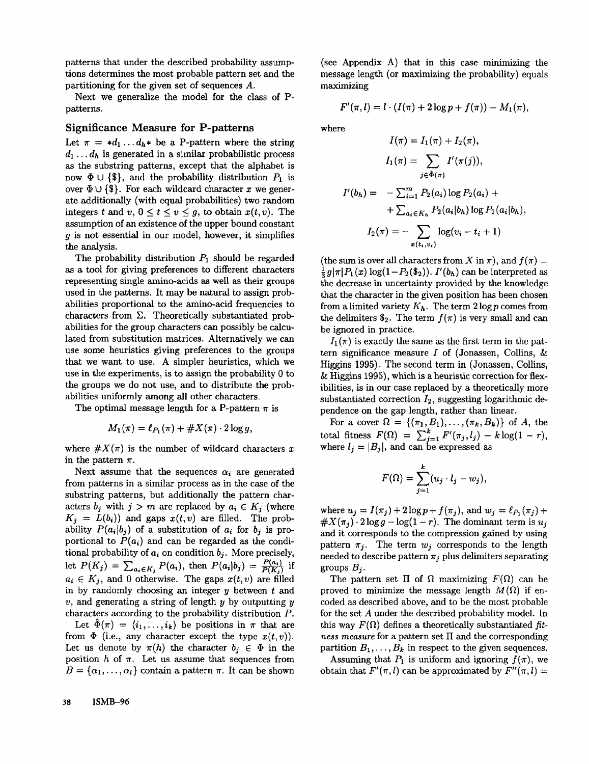patterns that under the described probability assumptions determines the most probable pattern set and the partitioning for the given set of sequences A.

Next we generalize the model for the class of Ppatterns.

## Significance Measure for P-patterns

Let  $\pi = *d_1 \dots d_h *$  be a P-pattern where the string  $d_1 \ldots d_h$  is generated in a similar probabilistic process as the substring patterns, except that the alphabet is now  $\Phi \cup {\{\$\}}$ , and the probability distribution  $P_1$  is over  $\Phi \cup {\{\$\}.$  For each wildcard character x we generate additionally (with equal probabilities) two random integers t and v,  $0 \le t \le v \le g$ , to obtain  $x(t, v)$ . The assumption of an existence of the upper bound constant g is not essential in our model, however, it simplifies the analysis.

The probability distribution  $P_1$  should be regarded as a tool for giving preferences to different characters representing single amino-acids as well as their groups used in the patterns. It may be natural to assign probabilities proportional to the amino-acid frequencies to characters from  $\Sigma$ . Theoretically substantiated probabilities for the group characters can possibly be calculated from substitution matrices. Alternatively we can use some heuristics giving preferences to the groups that we want to use. A simpler heuristics, which we use in the experiments, is to assign the probability 0 to the groups we do not use, and to distribute the probabilities uniformly among all other characters.

The optimal message length for a P-pattern  $\pi$  is

$$
M_1(\pi) = \ell_{P_1}(\pi) + \#X(\pi) \cdot 2\log g,
$$

where  $\#X(\pi)$  is the number of wildcard characters x in the pattern  $\pi$ .

Next assume that the sequences  $\alpha_i$  are generated from patterns in a similar process as in the case of the substring patterns, but additionally the pattern characters  $b_j$  with  $j > m$  are replaced by  $a_i \in K_j$  (where  $K_j = L(b_i)$  and gaps  $x(t, v)$  are filled. The probability  $P(a_i|b_j)$  of a substitution of  $a_i$  for  $b_j$  is proportional to  $P(a_i)$  and can be regarded as the conditional probability of  $a_i$  on condition  $b_i$ . More precisely, let  $P(K_j) = \sum_{a_i \in K_j} P(a_i)$ , then  $P(a_i|b_j) = \frac{P(a_i)}{P(K_j)}$  if  $a_i \in K_j$ , and 0 otherwise. The gaps  $x(t, v)$  are filled in by randomly choosing an integer  $y$  between  $t$  and v, and generating a string of length  $y$  by outputting  $y$ characters according to the probability distribution P.

Let  $\ddot{\Phi}(\pi) = \langle i_1, \ldots, i_k \rangle$  be positions in  $\pi$  that are from  $\Phi$  (i.e., any character except the type  $x(t, v)$ ). Let us denote by  $\pi(h)$  the character  $b_j \in \Phi$  in the position h of  $\pi$ . Let us assume that sequences from  $B = {\alpha_1, \ldots, \alpha_l}$  contain a pattern  $\pi$ . It can be shown

(see Appendix A) that in this case minimizing the message length (or maximizing the probability) equals maximizing

$$
F'(\pi, l) = l \cdot (I(\pi) + 2 \log p + f(\pi)) - M_1(\pi),
$$

where

$$
I(\pi) = I_1(\pi) + I_2(\pi),
$$
  
\n
$$
I_1(\pi) = \sum_{j \in \Phi(\pi)} I'(\pi(j)),
$$
  
\n
$$
I'(b_h) = -\sum_{i=1}^m P_2(a_i) \log P_2(a_i) +
$$
  
\n
$$
+ \sum_{a_i \in K_h} P_2(a_i | b_h) \log P_2(a_i | b_h),
$$
  
\n
$$
I_2(\pi) = - \sum_{x(t_i, v_i)} \log(v_i - t_i + 1)
$$

(the sum is over all characters from X in  $\pi$ ), and  $f(\pi) =$  $\frac{1}{3}g|\pi|P_1(x) \log(1-P_2(\$_2)).$  *I'(b<sub>h</sub>)* can be interpreted as the decrease in uncertainty provided by the knowledge that the character in the given position has been chosen from a limited variety  $K_h$ . The term  $2 \log p$  comes from the delimiters  $\$_2$ . The term  $f(\pi)$  is very small and can be ignored in practice.

 $I_1(\pi)$  is exactly the same as the first term in the pattern significance measure  $I$  of (Jonassen, Collins,  $\&$ Higgins 1995). The second term in (Jonassen, Collins, & Higgins 1995), which is a heuristic correction for flexibilities, is in our case replaced by a theoretically more substantiated correction  $I_2$ , suggesting logarithmic dependence on the gap length, rather than linear.

For a cover  $\Omega = \{(\pi_1, B_1), \ldots, (\pi_k, B_k)\}\$  of A, total fitness  $F(\Omega) = \sum_{i=1}^k F'(\pi_i, l_i) - k \log(1 - \frac{1}{n})$ where  $l_i = |B_i|$ , and can be expressed as

$$
F(\Omega)=\sum_{j=1}^k (u_j\cdot l_j-w_j),
$$

where  $u_j = I(\pi_j) + 2\log p + f(\pi_j)$ , and  $w_j = \ell_{P_1}(\pi_j) + 1$  $\#X(\pi_i) \cdot 2\log g - \log(1-r)$ . The dominant term is  $u_i$ and it corresponds to the compression gained by using pattern  $\pi_j$ . The term  $w_j$  corresponds to the length needed to describe pattern  $\pi_j$  plus delimiters separating groups  $B_i$ .

The pattern set  $\Pi$  of  $\Omega$  maximizing  $F(\Omega)$  can be proved to minimize the message length  $M(\Omega)$  if encoded as described above, and to be the most probable for the set A under the described probability model. In this way  $F(\Omega)$  defines a theoretically substantiated fit*ness measure* for a pattern set II and the corresponding partition  $B_1, \ldots, B_k$  in respect to the given sequences.

Assuming that  $P_1$  is uniform and ignoring  $f(\pi)$ , we obtain that  $F'(\pi, l)$  can be approximated by  $F''(\pi, l) =$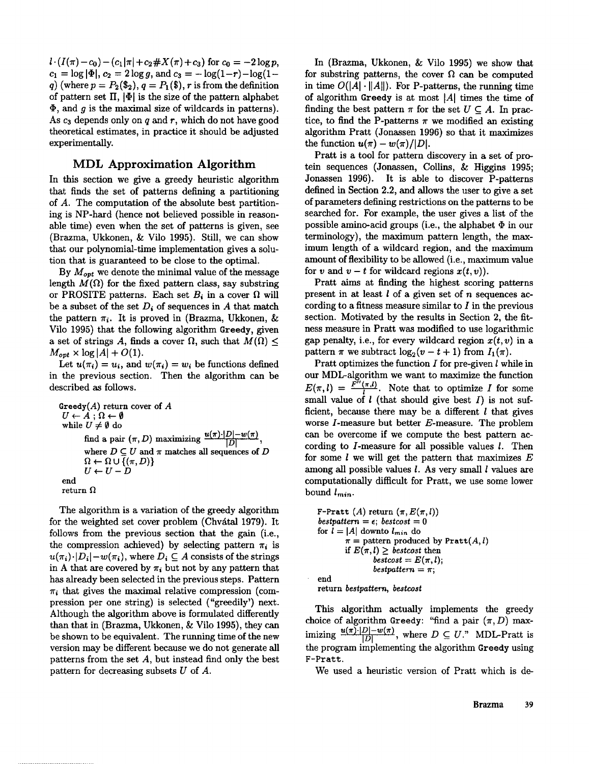$l \cdot (I(\pi) - c_0) - (c_1|\pi| + c_2 \# X(\pi) + c_3)$  for  $c_0 = -2 \log p$ ,  $c_1 = \log |\Phi|, c_2 = 2 \log g$ , and  $c_3 = -\log(1-r)-\log(1-r)$ q) (where  $p = P_2(\mathscr{L}_2), q = P_1(\mathscr{L}), r$  is from the definition of pattern set  $\Pi$ ,  $|\Phi|$  is the size of the pattern alphabet  $\Phi$ , and g is the maximal size of wildcards in patterns). As  $c_3$  depends only on q and r, which do not have good theoretical estimates, in practice it should be adjusted experimentally.

## **MDL Approximation Algorithm**

In this section we give a greedy heuristic algorithm that finds the set of patterns defining a partitioning of A. The computation of the absolute best partitioning is NP-hard (hence not believed possible in reasonable time) even when the set of patterns is given, see (Brazma, Ukkonen, & Vilo 1995). Still, we can show that our polynomial-time implementation gives a solution that is guaranteed to be close to the optimal.

By *Mops* we denote the minimal value of the message length  $M(\Omega)$  for the fixed pattern class, say substring or PROSITE patterns. Each set  $B_i$  in a cover  $\Omega$  will be a subset of the set  $D_i$  of sequences in A that match the pattern  $\pi_i$ . It is proved in (Brazma, Ukkonen, & Vilo 1995) that the following algorithm Greedy, given a set of strings A, finds a cover  $\Omega$ , such that  $M(\Omega)$  <  $M_{opt} \times \log |A| + O(1)$ .

Let  $u(\pi_i) = u_i$ , and  $w(\pi_i) = w_i$  be functions defined in the previous section. Then the algorithm can be described as follows.

Greedy $(A)$  return cover of  $A$  $U \leftarrow A; \Omega \leftarrow \emptyset$ while  $U \neq \emptyset$  do find a pair  $(\pi, D)$  maximizing  $\frac{u(\pi)\cdot |D| - w(\pi)}{|D|}$ , where  $D \subseteq U$  and  $\pi$  matches all sequences of  $D$  $\Omega \leftarrow \Omega \cup \{(\pi, D)\}\$  $U \leftarrow U - D$ end return  $\Omega$ 

The algorithm is a variation of the greedy algorithm for the weighted set cover problem (Chvátal 1979). It follows from the previous section that the gain (i.e., the compression achieved) by selecting pattern  $\pi_i$  is  $u(\pi_i) \cdot |D_i| - w(\pi_i)$ , where  $D_i \subseteq A$  consists of the strings in A that are covered by  $\pi_i$  but not by any pattern that has already been selected in the previous steps. Pattern  $\pi_i$  that gives the maximal relative compression (compression per one string) is selected ("greedily') next. Although the algorithm above is formulated differently than that in (Brazma, Ukkonen, & Vilo 1995), they can be shown to be equivalent. The running time of the new version may be different because we do not generate all patterns from the set A, but instead find only the best pattern for decreasing subsets U of A.

In (Brazma, Ukkonen, & Vilo 1995) we show that for substring patterns, the cover  $\Omega$  can be computed in time  $O(|A| \cdot ||A||)$ . For P-patterns, the running time of algorithm Greedy is at most  $|A|$  times the time of finding the best pattern  $\pi$  for the set  $U \subseteq A$ . In practice, to find the P-patterns  $\pi$  we modified an existing algorithm Pratt (Jonassen 1996) so that it maximizes the function  $u(\pi) - w(\pi)/|D|$ .

Pratt is a tool for pattern discovery in a set of prorein sequences (Jonassen, Collins, & Higgins 1995; Jonassen 1996). It is able to discover P-patterns defined in Section 2.2, and allows the user to give a set of parameters defining restrictions on the patterns to be searched for. For example, the user gives a list of the possible amino-acid groups (i.e., the alphabet  $\Phi$  in our terminology), the maximum pattern length, the maximum length of a wildcard region, and the maximum amount of flexibility to be allowed (i.e., maximum value for v and  $v - t$  for wildcard regions  $x(t, v)$ ).

Pratt aims at finding the highest scoring patterns present in at least  $l$  of a given set of n sequences according to a fitness measure similar to  $I$  in the previous section. Motivated by the results in Section 2, the fitness measure in Pratt was modified to use logarithmic gap penalty, i.e., for every wildcard region  $x(t, v)$  in a pattern  $\pi$  we subtract  $\log_2(v - t + 1)$  from  $I_1(\pi)$ .

Pratt optimizes the function  $I$  for pre-given  $l$  while in our MDL-algorithm we want to maximize the function  $E(\pi, l) = \frac{F''(\pi, l)}{l}$ . Note that to optimize I for some small value of  $l$  (that should give best  $I$ ) is not sufficient, because there may be a different  $l$  that gives worse  $I$ -measure but better  $E$ -measure. The problem can be overcome if we compute the best pattern according to  $I$ -measure for all possible values  $I$ . Then for some  $l$  we will get the pattern that maximizes  $E$ among all possible values  $l$ . As very small  $l$  values are computationally difficult for Pratt, we use some lower bound  $l_{min}$ .

F-Pratt (A) return  $(\pi, E(\pi, l))$ *bestpattern* =  $\epsilon$ *; bestcost* = 0 for  $l = |A|$  downto  $l_{min}$  do  $\pi$  = pattern produced by Pratt $(A, l)$ if  $E(\pi,l) >$  bestcost then  $bestcost = E(\pi, l);$ *bestpattern* =  $\pi$ ; end return *bestpattern, bestcost*

This algorithm actually implements the greedy choice of algorithm Greedy: "find a pair  $(\pi, D)$  maximizing  $\frac{u(\pi)\cdot|D|-w(\pi)}{|D|}$ , where  $D \subseteq U$ ." MDL-Pratt is the program implementing the algorithm Greedy using F-Pratt.

We used a heuristic version of Pratt which is de-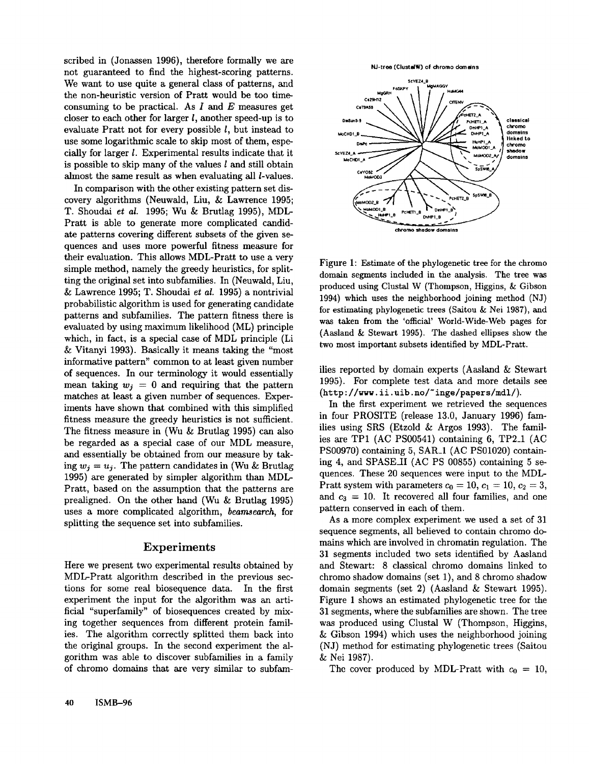scribed in (Jonassen 1996), therefore formally we are not guaranteed to find the highest-scoring patterns. We want to use quite a general class of patterns, and the non-heuristic version of Pratt would be too timeconsuming to be practical. As  $I$  and  $E$  measures get closer to each other for larger  $l$ , another speed-up is to evaluate Pratt not for every possible l, but instead to use some logarithmic scale to skip most of them, especially for larger I. Experimental results indicate that it is possible to skip many of the values  $l$  and still obtain almost the same result as when evaluating all *l*-values.

In comparison with the other existing pattern set discovery algorithms (Neuwald, Liu, & Lawrence 1995; T. Shoudai *et aL* 1995; Wu & Brutlag 1995), MDL-Pratt is able to generate more complicated candidate patterns covering different subsets of the given sequences and uses more powerful fitness measure for their evaluation. This allows MDL-Pratt to use a very simple method, namely the greedy heuristics, for splitting the original set into subfamilies. In (Neuwald, Liu, & Lawrence 1995; T. Shoudai *et al.* 1995) a nontrivial probabilistic algorithm is used for generating candidate patterns and subfamilies. The pattern fitness there is evaluated by using maximum likelihood (ML) principle which, in fact, is a special case of MDL principle (Li & Vitanyi 1993). Basically it means taking the "most informative pattern" common to at least given number of sequences. In our terminology it would essentially mean taking  $w_j = 0$  and requiring that the pattern matches at least a given number of sequences. Experiments have shown that combined with this simplified fitness measure the greedy heuristics is not sufficient. The fitness measure in (Wu & Brutlag 1995) can also be regarded as a special case of our MDL measure, and essentially be obtained from our measure by taking  $w_i = u_i$ . The pattern candidates in (Wu & Brutlag 1995) are generated by simpler algorithm than MDL-Pratt, based on the assumption that the patterns are prealigned. On the other hand (Wu & Brutlag 1995) uses a more complicated algorithm, *beamsearch,* for splitting the sequence set into subfamilies.

#### Experiments

Here we present two experimental results obtained by MDL-Pratt algorithm described in the previous sections for some real biosequence data. In the first experiment the input for the algorithm was an artificial "superfamily" of biosequences created by mixing together sequences from different protein families. The algorithm correctly splitted them back into the original groups. In the second experiment the algorithm was able to discover subfamilies in a family of chromo domains that are very similar to subfam-







Figure 1: Estimate of the phylogenetic tree for the chromo domain segments included in the analysis. The tree was produced using Clustal W (Thompson, Higgins, & Gibson 1994) which uses the neighborhood joining method (N for estimating phylogenetic trees (Saitou & Nei 1987), and was taken from the 'official' World-Wide-Web pages for (Aasland & Stewart 1995). The dashed ellipses show the two most important subsets identified by MDL-Pratt.

ilies reported by domain experts (Aasland & Stewart 1995). For complete test data and more details see (http ://www. ii. uib. no/~ inge/papers/mdl/).

In the first experiment we retrieved the sequences in four PROSITE (release 13.0, January 1996) families using SRS (Etzold & Argos 1993). The families are TP1 (AC PS00541) containing 6, TP2\_I (AC  $PS00970$ ) containing 5, SAR<sub>-1</sub> (AC PS01020) containing 4, and SPASE\_II (AC PS 00855) containing 5 sequences. These 20 sequences were input to the MDL-Pratt system with parameters  $c_0 = 10$ ,  $c_1 = 10$ ,  $c_2 = 3$ , and  $c_3 = 10$ . It recovered all four families, and one pattern conserved in each of them.

As a more complex experiment we used a set of 31 sequence segments, all believed to contain chromo domains which are involved in chromatin regulation. The 31 segments included two sets identified by Aasland and Stewart: 8 classical chromo domains linked to chromo shadow domains (set 1), and 8 chromo shadow domain segments (set 2) (Aasland & Stewart 1995). Figure 1 shows an estimated phylogenetic tree for the 31 segments, where the subfamilies are shown. The tree was produced using Clustal W (Thompson, Higgins, & Gibson 1994) which uses the neighborhood joining (NJ) method for estimating phylogenetic trees (Saitou & Nei 1987).

The cover produced by MDL-Pratt with  $c_0 = 10$ ,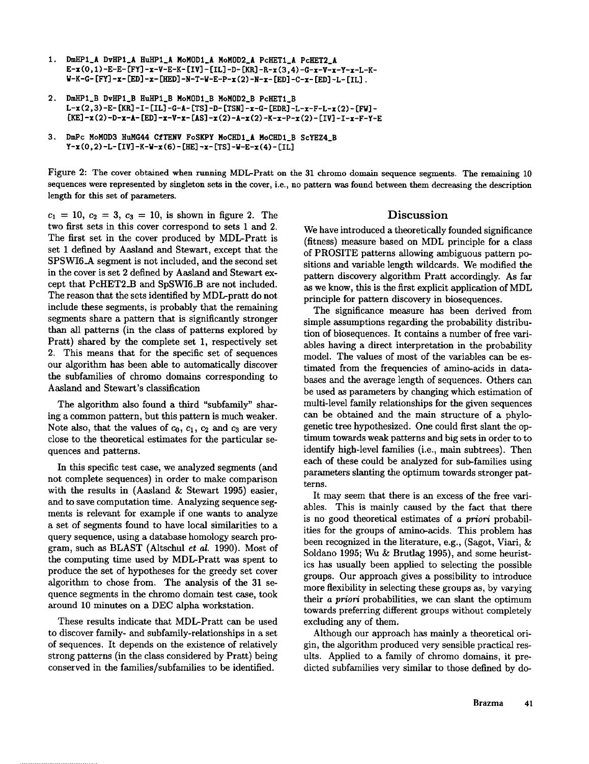- **DmHPI\_A DvHPI\_A HuHPI\_A NoMODI\_A HoMOD2\_A PcHETI\_A PcHET2\_A**  $1.$ E-x(0,1)-E-E-[FY]-x-V-E-K-[IV]-[IL]-D-[KR]-R-x(3,4)-G-x-V-x-Y-x-L-K-**W-K-O- [FY] -x- lED] -x- [HED] -N-T-W-E-P-x (2) -N-x- [ED] -C-x- [ED] -L- [IL].**
- 2, **DNHPI\_B DvHPI\_B HuHPI\_B MoMODI\_B MoMOD2\_B PcHETI\_B L-x (2,3) -E- [Kit] -I- [IL] -G-A- ITS] -D- [TSN] -x-C- [EDR] -L-x-F-L-x (2)- [FW] [KE] -x (2) -D-x-A- [ED] -x-V-x- [AS] -x (2)-A-x (2) -K-x-P-x (2)- [IV] -I-x-F-Y-E**
- **3. DNPc MoMOD3 HUNG44 CfTENV FoSKPY MoCHDI\_A MoCHDI\_B ScYEZ4\_B Y-x (0,2) -L- [IV] -K-W-x (6) - [HE] -x- [TS] -W-E-x (4)-**

Figure 2: The cover obtained when running MDL-Pratt on the 31 chromo domain sequence segments. The remaining 10 sequences were represented by singleton sets in the cover, i.e., no pattern was found between them decreasing the description length for this set of parameters.

 $c_1 = 10, c_2 = 3, c_3 = 10$ , is shown in figure 2. The two first sets in this cover correspond to sets 1 and 2. The first set in the cover produced by MDL-Pratt is set 1 defined by Aasland and Stewart, except that the SPSWI6\_A segment is not included, and the second set in the cover is set 2 defined by Aasland and Stewart except that PcHET2\_B and SpSWI6\_B are not included. The reason that the sets identified by MDL-pratt do not include these segments, is probably that the remaining segments share a pattern that is significantly stronger than all patterns (in the class of patterns explored by Pratt) shared by the complete set 1, respectively set 2. This means that for the specific set of sequences our algorithm has been able to automatically discover the subfamilies of chromo domains corresponding to Aasland and Stewart's classification

The algorithm also found a third "subfamily" sharing a common pattern, but this pattern is much weaker. Note also, that the values of  $c_0$ ,  $c_1$ ,  $c_2$  and  $c_3$  are very close to the theoretical estimates for the particular sequences and patterns.

In this specific test case, we analyzed segments (and not complete sequences) in order to make comparison with the results in (Aasland & Stewart 1995) easier, and to save computation time. Analyzing sequence segments is relevant for example if one wants to analyze a set of segments found to have local similarities to a query sequence, using a database homology search program, such as BLAST (Altschul *et al.* 1990). Most of the computing time used by MDL-Pratt was spent to produce the set of hypotheses for the greedy set cover algorithm to chose from. The analysis of the 31 sequence segments in the chromo domain test case, took around 10 minutes on a DEC alpha workstation.

These results indicate that MDL-Pratt can be used to discover family- and subfamily-relationships in a set of sequences. It depends on the existence of relatively strong patterns (in the class considered by Pratt) being conserved in the families/subfamilies to be identified.

### Discussion

We have introduced a theoretically founded significance (fitness) measure based on MDL principle for a class of PROSITE patterns allowing ambiguous pattern positions and variable length wildcards. We modified the pattern discovery algorithm Pratt accordingly. As far as we know, this is the first explicit application of MDL principle for pattern discovery in biosequences.

The significance measure has been derived from simple assumptions regarding the probability distribution of biosequences. It contains a number of free variables having a direct interpretation in the probability model. The values of most of the variables can be estimated from the frequencies of amino-acids in databases and the average length of sequences. Others can be used as parameters by changing which estimation of multi-level family relationships for the given sequences can be obtained and the main structure of a phylogenetic tree hypothesized. One could first slant the optimum towards weak patterns and big sets in order to to identify high-level families (i.e., main subtrees). Then each of these could be analyzed for sub-families using parameters slanting the optimum towards stronger patterns.

It may seem that there is an excess of the free variables. This is mainly caused by the fact that there is no good theoretical estimates of *a priori* probabilities for the groups of amino-acids. This problem has been recognized in the literature, e.g., (Sagot, Viari, Soldano 1995; Wu & Brutlag 1995), and some heuristics has usually been applied to selecting the possible groups. Our approach gives a possibility to introduce more flexibility in selecting these groups as, by varying their *a priori* probabilities, we can slant the optimum towards preferring different groups without completely excluding any of them.

Although our approach has mainly a theoretical origin, the algorithm produced very sensible practical results. Applied to a family of chromo domains, it predicted subfamilies very similar to those defined by do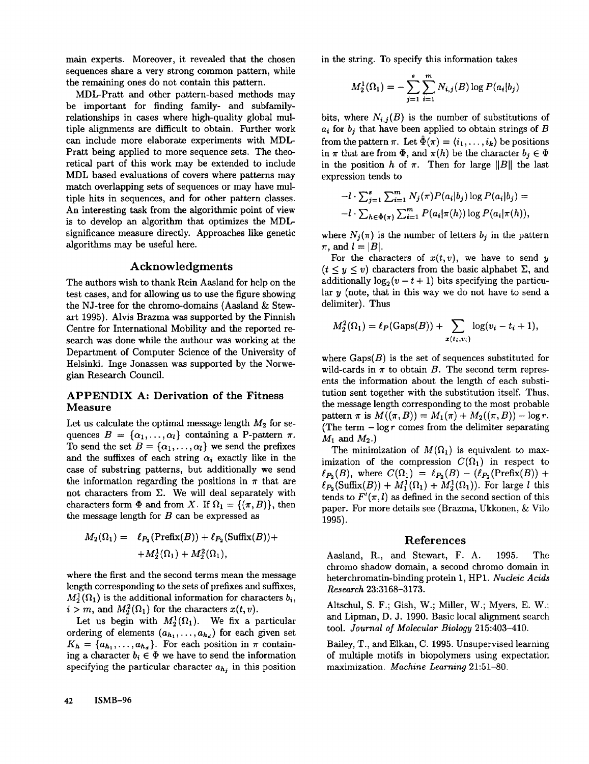main experts. Moreover, it revealed that the chosen sequences share a very strong common pattern, while the remaining ones do not contain this pattern.

MDL-Pratt and other pattern-based methods may be important for finding family- and subfamilyrelationships in cases where high-quality global multiple alignments are difficult to obtain. Further work can include more elaborate experiments with MDL-Pratt being applied to more sequence sets. The theoretical part of this work may be extended to include MDL based evaluations of covers where patterns may match overlapping sets of sequences or may have multiple hits in sequences, and for other pattern classes. An interesting task from the algorithmic point of view is to develop an algorithm that optimizes the MDLsignificance measure directly. Approaches like genetic algorithms may be useful here.

## Acknowledgments

The authors wish to thank Rein Aasland for help on the test cases, and for allowing us to use the figure showing the NJ-tree for the chromo-domains (Aasland & Stewart 1995). Alvis Brazma was supported by the Finnish Centre for International Mobility and the reported research was done while the authour was working at the Department of Computer Science of the University of Helsinki. Inge Jonassen was supported by the Norwegian Research Council.

## APPENDIX A: Derivation of the Fitness Measure

Let us calculate the optimal message length  $M_2$  for sequences  $B = {\alpha_1, ..., \alpha_l}$  containing a P-pattern  $\pi$ . To send the set  $B = {\alpha_1, ..., \alpha_l}$  we send the prefixes and the suffixes of each string  $\alpha_i$  exactly like in the case of substring patterns, but additionally we send the information regarding the positions in  $\pi$  that are not characters from  $\Sigma$ . We will deal separately with characters form  $\Phi$  and from X. If  $\Omega_1 = \{(\pi, B)\}\,$ , then the message length for  $B$  can be expressed as

$$
M_2(\Omega_1) = \ell_{P_2}(\text{Prefix}(B)) + \ell_{P_2}(\text{Suffix}(B)) +
$$
  
+
$$
M_2^1(\Omega_1) + M_2^2(\Omega_1),
$$

where the first and the second terms mean the message length corresponding to the sets of prefixes and suffixes,  $M_2^1(\Omega_1)$  is the additional information for characters  $b_i$ ,  $i > m$ , and  $M_2^2(\Omega_1)$  for the characters  $x(t, v)$ .

Let us begin with  $M_2^1(\Omega_1)$ . We fix a particular ordering of elements  $(a_{h_1},...,a_{h_d})$  for each given set  $K_h = \{a_{h_1}, \ldots, a_{h_d}\}.$  For each position in  $\pi$  containing a character  $b_i \in \Phi$  we have to send the information specifying the particular character  $a_h$ , in this position in the string. To specify this information takes

$$
M_2^1(\Omega_1) = -\sum_{j=1}^s \sum_{i=1}^m N_{i,j}(B) \log P(a_i|b_j)
$$

bits, where  $N_{i,j}(B)$  is the number of substitutions of  $a_i$  for  $b_j$  that have been applied to obtain strings of  $B$ from the pattern  $\pi$ . Let  $\hat{\Phi}(\pi) = \langle i_1,\ldots, i_k \rangle$  be positions in  $\pi$  that are from  $\Phi$ , and  $\pi(h)$  be the character  $b_i \in \Phi$ in the position h of  $\pi$ . Then for large ||B|| the last expression tends to

$$
-l \cdot \sum_{j=1}^s \sum_{i=1}^m N_j(\pi) P(a_i|b_j) \log P(a_i|b_j) =
$$
  

$$
-l \cdot \sum_{h \in \hat{\Phi}(\pi)} \sum_{i=1}^m P(a_i|\pi(h)) \log P(a_i|\pi(h)),
$$

where  $N_j(\pi)$  is the number of letters  $b_j$  in the pattern  $\pi$ , and  $l = |B|$ .

For the characters of  $x(t, v)$ , we have to send y  $(t \leq y \leq v)$  characters from the basic alphabet  $\Sigma$ , and additionally  $\log_2 (v - t + 1)$  bits specifying the particular  $y$  (note, that in this way we do not have to send a delimiter). Thus

$$
M_2^2(\Omega_1) = \ell_P(\text{Gaps}(B)) + \sum_{x(t_i, v_i)} \log(v_i - t_i + 1),
$$

where  $Gaps(B)$  is the set of sequences substituted for wild-cards in  $\pi$  to obtain B. The second term represents the information about the length of each substitution sent together with the substitution itself. Thus, the message length corresponding to the most probable pattern  $\pi$  is  $M((\pi, B)) = M_1(\pi) + M_2((\pi, B)) - \log r$ . (The term  $-\log r$  comes from the delimiter separating  $M_1$  and  $M_2$ .)

The minimization of  $M(\Omega_1)$  is equivalent to maximization of the compression  $C(\Omega_1)$  in respect to  $\ell_{P_2}(B)$ , where  $C(\Omega_1) = \ell_{P_2}(B) - (\ell_{P_2}(\text{Prefix}(B)) +$  $\ell_{P_2}(\text{Suffix}(B)) + M_1^1(\Omega_1) + M_2^1(\Omega_1)).$  For large l this tends to  $F'(\pi, l)$  as defined in the second section of this paper. For more details see (Brazma, Ukkonen, & Vilo 1995).

### References

Aasland, R., and Stewart, F.A. 1995. The chromo shadow domain, a second chromo domain in heterchronmtin-binding protein 1, HP1. *Nucleic Acids Research* 23:3168-3173.

Altschul, S. F.; Gish, W.; Miller, W.; Myers, E. W.; and Lipman, D. J. 1990. Basic local alignment search tool. *Journal of Molecular Biology* 215:403-410.

Bailey, T., and Elkan, C. 1995. Unsupervised learning of multiple motifs in biopolymers using expectation maximization. *Machine Learning* 21:51-80.